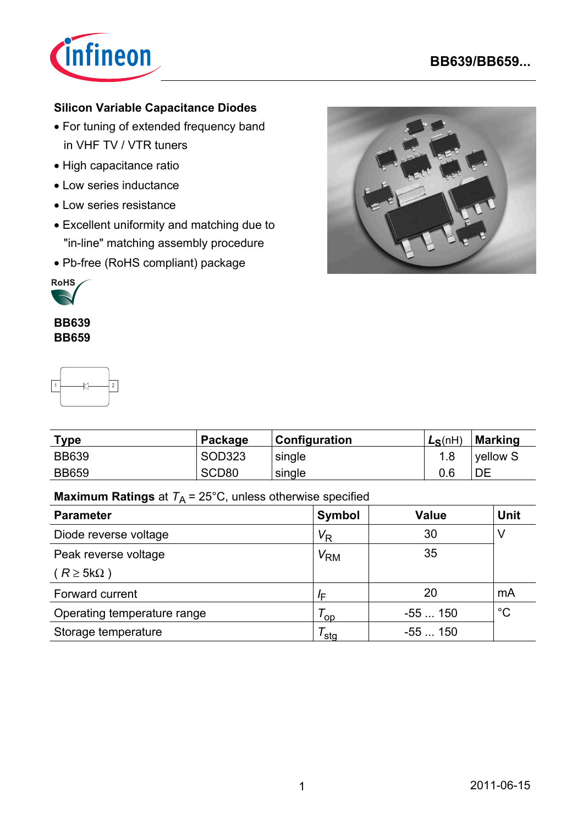

# **BB639/BB659...**

# **Silicon Variable Capacitance Diodes**

- For tuning of extended frequency band in VHF TV / VTR tuners
- High capacitance ratio
- Low series inductance
- Low series resistance
- Excellent uniformity and matching due to "in-line" matching assembly procedure
- Pb-free (RoHS compliant) package



#### **BB639 BB659**



| Type         | Package           | Configuration | $L_S(nH)$ | Marking  |
|--------------|-------------------|---------------|-----------|----------|
| <b>BB639</b> | <b>SOD323</b>     | single        |           | vellow S |
| <b>BB659</b> | SCD <sub>80</sub> | single        | 0.6       | DE       |

# **Maximum Ratings** at  $T_A = 25^{\circ}$ C, unless otherwise specified

| <b>Parameter</b>            | <b>Symbol</b>        | <b>Value</b> | <b>Unit</b> |
|-----------------------------|----------------------|--------------|-------------|
| Diode reverse voltage       | $V_{\mathsf{R}}$     | 30           | V           |
| Peak reverse voltage        | $V_{\mathsf{RM}}$    | 35           |             |
| $(R \geq 5k\Omega)$         |                      |              |             |
| Forward current             | /F                   | 20           | mA          |
| Operating temperature range | $\tau_{\mathsf{op}}$ | $-55150$     | $^{\circ}C$ |
| Storage temperature         | sta                  | $-55150$     |             |

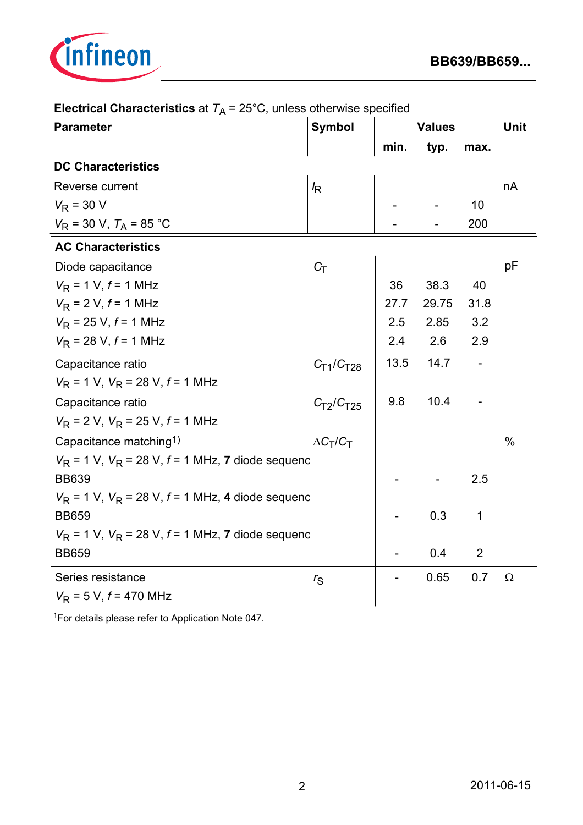

| <b>Parameter</b>                                                  | <b>Symbol</b>                     | <b>Values</b> | <b>Unit</b> |                |               |  |  |  |
|-------------------------------------------------------------------|-----------------------------------|---------------|-------------|----------------|---------------|--|--|--|
|                                                                   |                                   | min.          | typ.        | max.           |               |  |  |  |
| <b>DC Characteristics</b>                                         |                                   |               |             |                |               |  |  |  |
| Reverse current                                                   | $I_{\mathsf{R}}$                  |               |             |                | nA            |  |  |  |
| $V_{\rm R}$ = 30 V                                                |                                   |               |             | 10             |               |  |  |  |
| $V_R$ = 30 V, $T_A$ = 85 °C                                       |                                   |               |             | 200            |               |  |  |  |
| <b>AC Characteristics</b>                                         |                                   |               |             |                |               |  |  |  |
| Diode capacitance                                                 | $C_T$                             |               |             |                | pF            |  |  |  |
| $V_R$ = 1 V, $f$ = 1 MHz                                          |                                   | 36            | 38.3        | 40             |               |  |  |  |
| $V_R$ = 2 V, $f$ = 1 MHz                                          |                                   | 27.7          | 29.75       | 31.8           |               |  |  |  |
| $V_R$ = 25 V, $f$ = 1 MHz                                         |                                   | 2.5           | 2.85        | 3.2            |               |  |  |  |
| $V_R$ = 28 V, $f$ = 1 MHz                                         |                                   | 2.4           | 2.6         | 2.9            |               |  |  |  |
| Capacitance ratio                                                 | $C_{T1}/C_{T28}$                  | 13.5          | 14.7        |                |               |  |  |  |
| $V_R$ = 1 V, $V_R$ = 28 V, $f$ = 1 MHz                            |                                   |               |             |                |               |  |  |  |
| Capacitance ratio                                                 | C <sub>T2</sub> /C <sub>T25</sub> | 9.8           | 10.4        |                |               |  |  |  |
| $V_R$ = 2 V, $V_R$ = 25 V, $f$ = 1 MHz                            |                                   |               |             |                |               |  |  |  |
| Capacitance matching <sup>1)</sup>                                | $\Delta C_T/C_T$                  |               |             |                | $\frac{0}{0}$ |  |  |  |
| $V_{\rm R}$ = 1 V, $V_{\rm R}$ = 28 V, f = 1 MHz, 7 diode sequend |                                   |               |             |                |               |  |  |  |
| <b>BB639</b>                                                      |                                   |               |             | 2.5            |               |  |  |  |
| $V_{\rm R}$ = 1 V, $V_{\rm R}$ = 28 V, f = 1 MHz, 4 diode sequend |                                   |               |             |                |               |  |  |  |
| <b>BB659</b>                                                      |                                   |               | 0.3         | 1              |               |  |  |  |
| $V_{\rm R}$ = 1 V, $V_{\rm R}$ = 28 V, f = 1 MHz, 7 diode sequend |                                   |               |             |                |               |  |  |  |
| <b>BB659</b>                                                      |                                   |               | 0.4         | $\overline{2}$ |               |  |  |  |
| Series resistance                                                 | $r_{\rm S}$                       |               | 0.65        | 0.7            | $\Omega$      |  |  |  |
| $V_R$ = 5 V, $f$ = 470 MHz                                        |                                   |               |             |                |               |  |  |  |

# **Electrical Characteristics** at  $T_A = 25^{\circ}$ C, unless otherwise specified

1For details please refer to Application Note 047.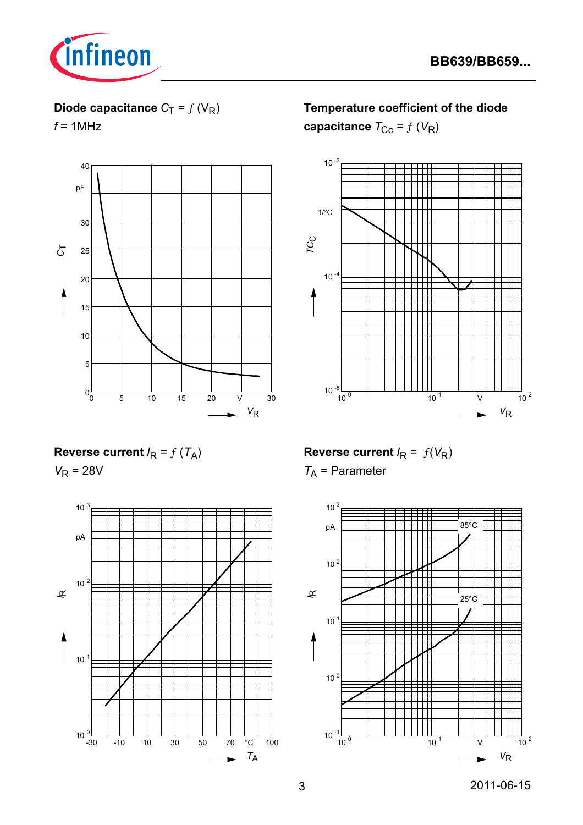

# **Diode capacitance**  $C_T = f(V_R)$

 $f = 1$ MHz



**Temperature coefficient of the diode** 

**capacitance**  $T_{\text{CC}} = f(V_R)$ 



**Reverse current**  $I_R = f(T_A)$ 

 $V_R = 28V$ 



**Reverse current**  $I_R = f(V_R)$ 

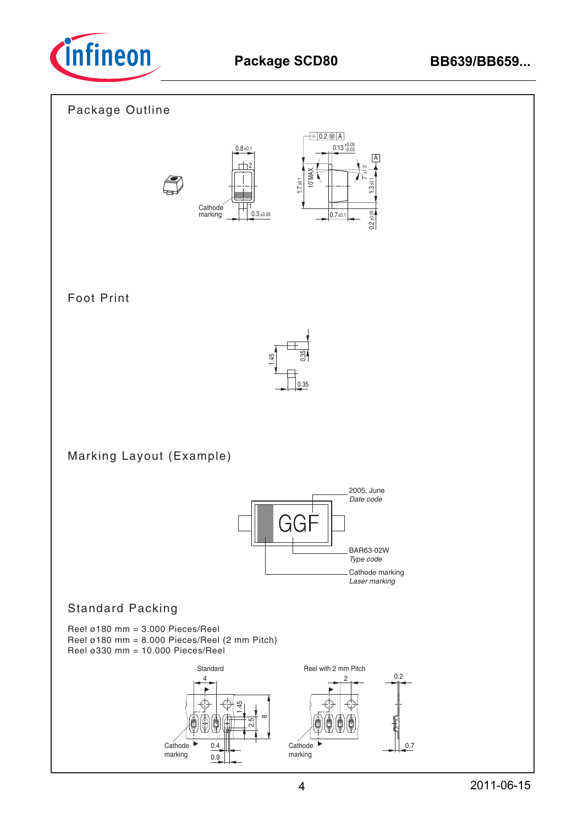

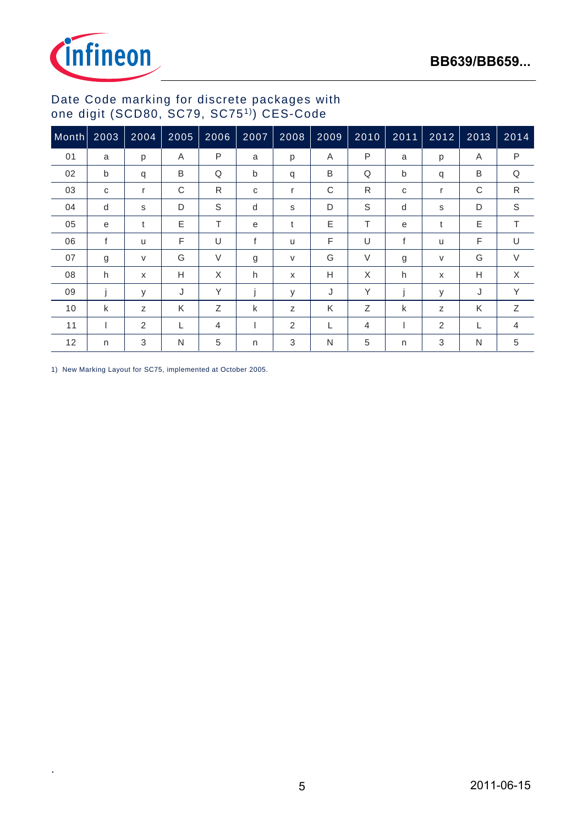

# Date Code marking for discrete packages with one digit (SCD80, SC79, SC751)) CES-Code

| Month | 2003 | 2004   | 2005 | 2006   | 2007         | 2008 | 2009 | 2010         | 2011 | 2012                      | 2013 | 2014         |
|-------|------|--------|------|--------|--------------|------|------|--------------|------|---------------------------|------|--------------|
| 01    | a    | p      | Α    | P      | a            | p    | A    | $\mathsf{P}$ | a    | p                         | Α    | $\mathsf{P}$ |
| 02    | b    | q      | B    | Q      | b            | q    | B    | Q            | b    | q                         | B    | Q            |
| 03    | C    | r      | C    | R      | $\mathbf{C}$ | r    | C    | R            | C    | $\mathsf{r}$              | C    | R            |
| 04    | d    | S      | D    | S      | d            | s    | D    | S            | d    | s                         | D    | $\mathbb S$  |
| 05    | e    | t      | E    | T      | e            | t    | E    | T            | e    | t                         | Ε    | T.           |
| 06    | f    | u      | F    | U      | f            | u    | F    | U            | f    | u                         | F    | U            |
| 07    | g    | $\vee$ | G    | $\vee$ | g            | V    | G    | $\vee$       | g    | $\vee$                    | G    | $\vee$       |
| 08    | h    | X      | Н    | X      | h            | X    | Н    | X            | h.   | $\boldsymbol{\mathsf{x}}$ | Н    | X            |
| 09    |      | У      | J    | Y      |              | У    | J    | Υ            |      | y                         | J    | Y            |
| 10    | k    | Z      | K    | Ζ      | k            | z    | K    | Ζ            | k    | Z                         | Κ    | Ζ            |
| 11    |      | 2      | L    | 4      |              | 2    | L    | 4            |      | 2                         | L    | 4            |
| 12    | n    | 3      | N    | 5      | $\mathsf{n}$ | 3    | N    | 5            | n    | 3                         | N    | 5            |

1) New Marking Layout for SC75, implemented at October 2005.

.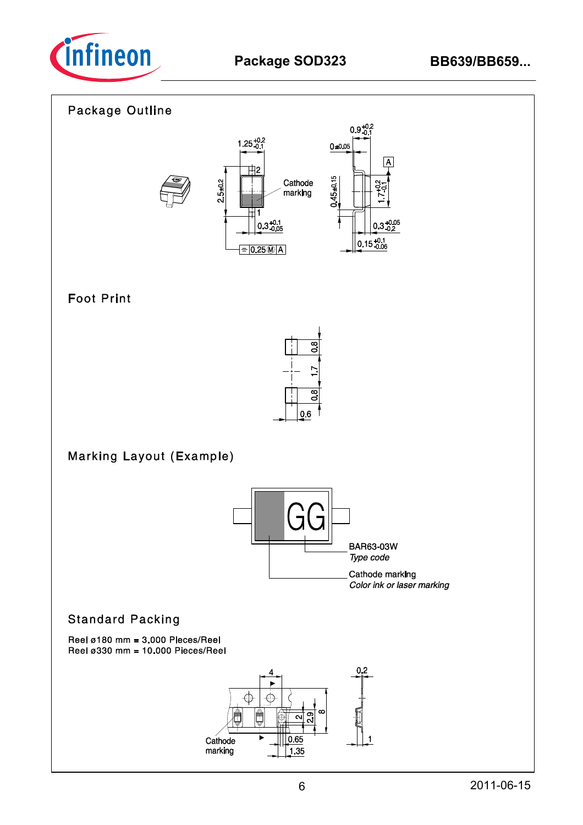